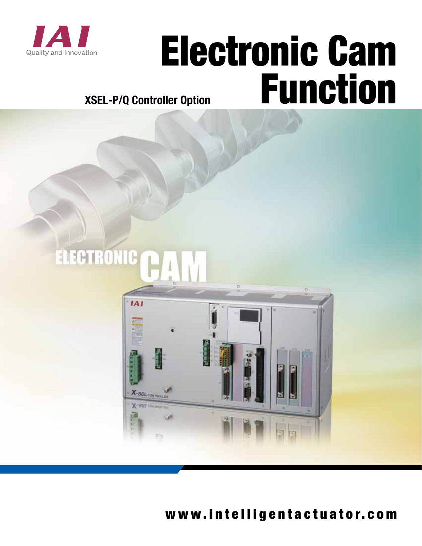

# Electronic Cam Function

## **XSEL-P/Q Controller Option**

## ELECTRONIC



www.intelligentactuator.com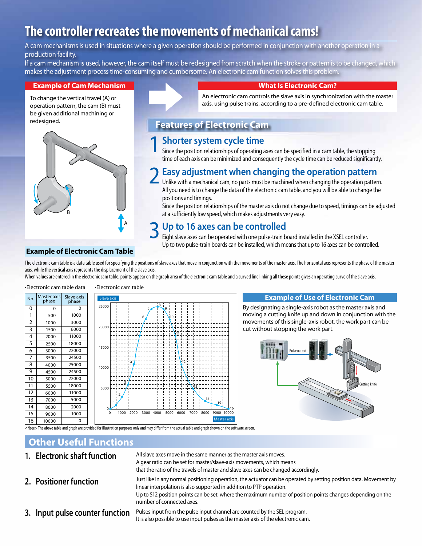## **The controller recreates the movements of mechanical cams!**

A cam mechanisms is used in situations where a given operation should be performed in conjunction with another operation in a production facility.

If a cam mechanism is used, however, the cam itself must be redesigned from scratch when the stroke or pattern is to be changed, which makes the adjustment process time-consuming and cumbersome. An electronic cam function solves this problem.

#### **Example of Cam Mechanism**

To change the vertical travel (A) or operation pattern, the cam (B) must be given additional machining or redesigned.





#### **What Is Electronic Cam?**

An electronic cam controls the slave axis in synchronization with the master axis, using pulse trains, according to a pre-defined electronic cam table.

#### **Features of Electronic Cam**

#### 1 **Shorter system cycle time**

Since the position relationships of operating axes can be specified in a cam table, the stopping time of each axis can be minimized and consequently the cycle time can be reduced significantly.

#### 2 **Easy adjustment when changing the operation pattern**

Unlike with a mechanical cam, no parts must be machined when changing the operation pattern. All you need is to change the data of the electronic cam table, and you will be able to change the positions and timings.

Since the position relationships of the master axis do not change due to speed, timings can be adjusted at a sufficiently low speed, which makes adjustments very easy.

#### 3 **Up to 16 axes can be controlled**

Eight slave axes can be operated with one pulse-train board installed in the XSEL controller. Up to two pulse-train boards can be installed, which means that up to 16 axes can be controlled.

#### **Example of Electronic Cam Table**

The electronic cam table is a data table used for specifying the positions of slave axes that move in conjunction with the movements of the master axis. The horizontal axis represents the phase of the master axis, while the vertical axis represents the displacement of the slave axis.

When values are entered in the electronic cam table, points appear on the graph area of the electronic cam table and a curved line linking all these points gives an operating curve of the slave axis.

| No.            | <b>Master axis</b><br>phase | Slave axis<br>phase |
|----------------|-----------------------------|---------------------|
| 0              | 0                           | 0                   |
| 1              | 500                         | 1000                |
| $\overline{2}$ | 1000                        | 3000                |
| 3              | 1500                        | 6000                |
| 4              | 2000                        | 11000               |
| 5              | 2500                        | 18000               |
| 6              | 3000                        | 22000               |
| $\overline{7}$ | 3500                        | 24500               |
| 8              | 4000                        | 25000               |
| 9              | 4500                        | 24500               |
| 10             | 5000                        | 22000               |
| 11             | 5500                        | 18000               |
| 12             | 6000                        | 11000               |
| 13             | 7000                        | 5000                |
| 14             | 8000                        | 2000                |
| 15             | 9000                        | 1000                |
| 16             | 10000                       | 0                   |





#### **Example of Use of Electronic Cam**

By designating a single-axis robot as the master axis and moving a cutting knife up and down in conjunction with the movements of this single-axis robot, the work part can be cut without stopping the work part.



 $\overline{\mathrm{d}}$ ed for illustration purposes only and may differ from the actual table and graph shown on the software screen.

#### **Other Useful Functions**

**1. Electronic shaft function 2. Positioner function 3. Input pulse counter function** All slave axes move in the same manner as the master axis moves. A gear ratio can be set for master/slave-axis movements, which means that the ratio of the travels of master and slave axes can be changed accordingly. Just like in any normal positioning operation, the actuator can be operated by setting position data. Movement by linear interpolation is also supported in addition to PTP operation. Up to 512 position points can be set, where the maximum number of position points changes depending on the number of connected axes. Pulses input from the pulse input channel are counted by the SEL program. It is also possible to use input pulses as the master axis of the electronic cam.

16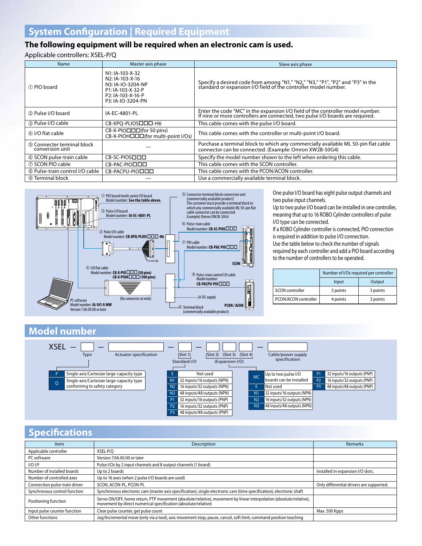#### **The following equipment will be required when an electronic cam is used.**

Applicable controllers: XSEL-P/Q

| Name                                          | Master axis phase                                                                                                                   | Slave axis phase                                                                                                                                                |
|-----------------------------------------------|-------------------------------------------------------------------------------------------------------------------------------------|-----------------------------------------------------------------------------------------------------------------------------------------------------------------|
| 1 PIO board                                   | N1: IA-103-X-32<br>N <sub>2</sub> : IA-103-X-16<br>N3: IA-IO-3204-NP<br>P1: IA-103-X-32-P<br>P2: IA-103-X-16-P<br>P3: IA-IO-3204-PN | Specify a desired code from among "N1," "N2," "N3," "P1", "P2" and "P3" in the standard or expansion I/O field of the controller model number.                  |
| 2 Pulse I/O board                             | IA-EC-4801-PL                                                                                                                       | Enter the code "MC" in the expansion I/O field of the controller model number.<br>If nine or more controllers are connected, two pulse I/O boards are required. |
| 3 Pulse I/O cable                             | CB-XPQ-PLIOSODD-H6                                                                                                                  | This cable comes with the pulse I/O board.                                                                                                                      |
| 4 I/O flat cable                              | CB-X-PIO□□□(for 50 pins)<br>CB-X-PIOHOOD (for multi-point I/Os)                                                                     | This cable comes with the controller or multi-point I/O board.                                                                                                  |
| 5 Connecter terminal block<br>conversion unit |                                                                                                                                     | Purchase a terminal block to which any commercially available ML 50-pin flat cable<br>connector can be connected. (Example: Omron XW2B-50G4)                    |
| 6 SCON pulse-train cable                      | CB-SC-PIOSOOD                                                                                                                       | Specify the model number shown to the left when ordering this cable.                                                                                            |
| (7) SCON PIO cable                            | CB-PAC-PIOOOO                                                                                                                       | This cable comes with the SCON controller.                                                                                                                      |
| 8 Pulse-train control I/O cable               | CB-PACPU-PIOOOO                                                                                                                     | This cable comes with the PCON/ACON controller.                                                                                                                 |
| <b>9 Terminal block</b>                       |                                                                                                                                     | Use a commercially available terminal block.                                                                                                                    |



One pulse I/O board has eight pulse output channels and two pulse input channels.

Up to two pulse I/O board can be installed in one controller, meaning that up to 16 ROBO Cylinder controllers of pulse I/O type can be connected.

If a ROBO Cylinder controller is connected, PIO connection is required in addition to pulse I/O connection. Use the table below to check the number of signals required by each controller and add a PIO board according to the number of controllers to be operated.

|                      |          | Number of I/Os required per controller |  |  |  |  |
|----------------------|----------|----------------------------------------|--|--|--|--|
|                      | Input    | Output                                 |  |  |  |  |
| SCON controller      | 5 points | 3 points                               |  |  |  |  |
| PCON/ACON controller | 4 points | 3 points                               |  |  |  |  |

#### **Model number**



#### **Specifications**

| Item                          | Description                                                                                                                                                                          | <b>Remarks</b>                           |
|-------------------------------|--------------------------------------------------------------------------------------------------------------------------------------------------------------------------------------|------------------------------------------|
| Applicable controller         | XSEL-P/O                                                                                                                                                                             |                                          |
| PC software                   | Version 7.06.00.00 or later                                                                                                                                                          |                                          |
| I/O I/F                       | Pulse I/Os by 2 input channels and 8 output channels (1 board)                                                                                                                       |                                          |
| Number of installed boards    | Up to 2 boards                                                                                                                                                                       | Installed in expansion I/O slots.        |
| Number of controlled axes     | Up to 16 axes (when 2 pulse I/O boards are used)                                                                                                                                     |                                          |
| Connection pulse-train driver | SCON, ACON-PL, PCON-PL                                                                                                                                                               | Only differential drivers are supported. |
| Synchronous control function  | Synchronous electronic cam (master axis specification), single electronic cam (time specification), electronic shaft                                                                 |                                          |
| Positioning function          | Servo ON/OFF, home return, PTP movement (absolute/relative), movement by linear interpolation (absolute/relative),<br>movement by direct numerical specification (absolute/relative) |                                          |
| Input pulse counter function  | Clear pulse counter, get pulse count                                                                                                                                                 | Max. 500 Kpps                            |
| Other functions               | Jog/Incremental move (only via a tool), axis movement stop, pause, cancel, soft limit, command position teaching                                                                     |                                          |